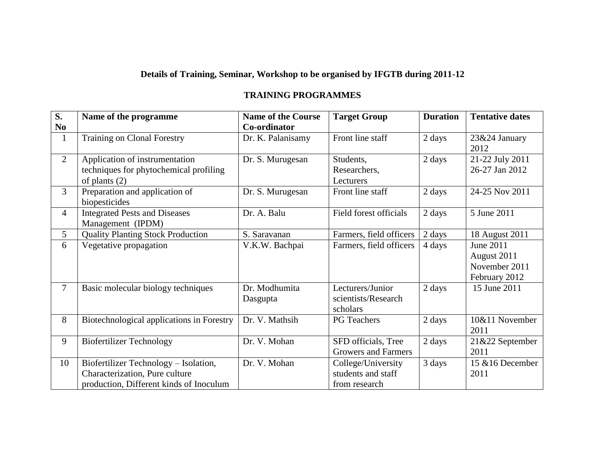## **Details of Training, Seminar, Workshop to be organised by IFGTB during 2011-12**

## **TRAINING PROGRAMMES**

| $\overline{\mathbf{S}}$ . | Name of the programme                     | <b>Name of the Course</b> | <b>Target Group</b>        | <b>Duration</b> | <b>Tentative dates</b> |
|---------------------------|-------------------------------------------|---------------------------|----------------------------|-----------------|------------------------|
| N <sub>0</sub>            |                                           | Co-ordinator              |                            |                 |                        |
| $\mathbf{1}$              | <b>Training on Clonal Forestry</b>        | Dr. K. Palanisamy         | Front line staff           | 2 days          | 23&24 January          |
|                           |                                           |                           |                            |                 | 2012                   |
| $\overline{2}$            | Application of instrumentation            | Dr. S. Murugesan          | Students,                  | 2 days          | 21-22 July 2011        |
|                           | techniques for phytochemical profiling    |                           | Researchers,               |                 | 26-27 Jan 2012         |
|                           | of plants $(2)$                           |                           | Lecturers                  |                 |                        |
| 3                         | Preparation and application of            | Dr. S. Murugesan          | Front line staff           | 2 days          | 24-25 Nov 2011         |
|                           | biopesticides                             |                           |                            |                 |                        |
| 4                         | <b>Integrated Pests and Diseases</b>      | Dr. A. Balu               | Field forest officials     | 2 days          | 5 June 2011            |
|                           | Management (IPDM)                         |                           |                            |                 |                        |
| 5                         | <b>Quality Planting Stock Production</b>  | S. Saravanan              | Farmers, field officers    | 2 days          | 18 August 2011         |
| 6                         | Vegetative propagation                    | V.K.W. Bachpai            | Farmers, field officers    | 4 days          | June 2011              |
|                           |                                           |                           |                            |                 | August 2011            |
|                           |                                           |                           |                            |                 | November 2011          |
|                           |                                           |                           |                            |                 | February 2012          |
| $\tau$                    | Basic molecular biology techniques        | Dr. Modhumita             | Lecturers/Junior           | 2 days          | 15 June 2011           |
|                           |                                           | Dasgupta                  | scientists/Research        |                 |                        |
|                           |                                           |                           | scholars                   |                 |                        |
| 8                         | Biotechnological applications in Forestry | Dr. V. Mathsih            | <b>PG</b> Teachers         | 2 days          | 10&11 November         |
|                           |                                           |                           |                            |                 | 2011                   |
| 9                         | <b>Biofertilizer Technology</b>           | Dr. V. Mohan              | SFD officials, Tree        | 2 days          | 21&22 September        |
|                           |                                           |                           | <b>Growers and Farmers</b> |                 | 2011                   |
| 10                        | Biofertilizer Technology - Isolation,     | Dr. V. Mohan              | College/University         | 3 days          | 15 & 16 December       |
|                           | Characterization, Pure culture            |                           | students and staff         |                 | 2011                   |
|                           | production, Different kinds of Inoculum   |                           | from research              |                 |                        |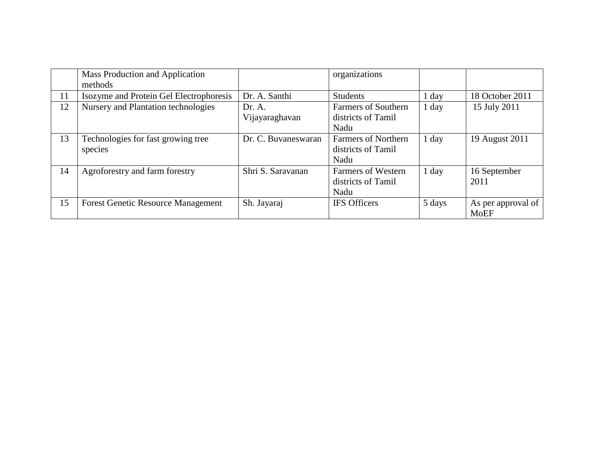|    | Mass Production and Application<br>methods    |                          | organizations                                            |         |                                   |
|----|-----------------------------------------------|--------------------------|----------------------------------------------------------|---------|-----------------------------------|
| 11 | Isozyme and Protein Gel Electrophoresis       | Dr. A. Santhi            | <b>Students</b>                                          | $1$ day | 18 October 2011                   |
| 12 | Nursery and Plantation technologies           | Dr. A.<br>Vijayaraghavan | <b>Farmers of Southern</b><br>districts of Tamil<br>Nadu | $1$ day | 15 July 2011                      |
| 13 | Technologies for fast growing tree<br>species | Dr. C. Buvaneswaran      | <b>Farmers of Northern</b><br>districts of Tamil<br>Nadu | 1 day   | 19 August 2011                    |
| 14 | Agroforestry and farm forestry                | Shri S. Saravanan        | <b>Farmers of Western</b><br>districts of Tamil<br>Nadu  | $1$ day | 16 September<br>2011              |
| 15 | <b>Forest Genetic Resource Management</b>     | Sh. Jayaraj              | <b>IFS</b> Officers                                      | 5 days  | As per approval of<br><b>MoEF</b> |